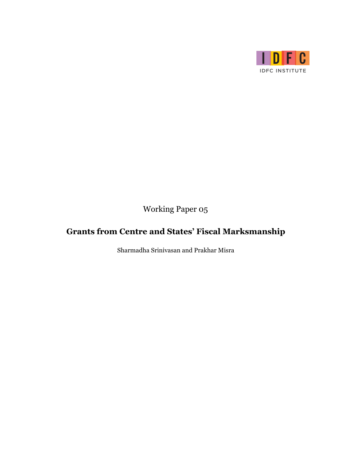

Working Paper 05

# **Grants from Centre and States' Fiscal Marksmanship**

Sharmadha Srinivasan and Prakhar Misra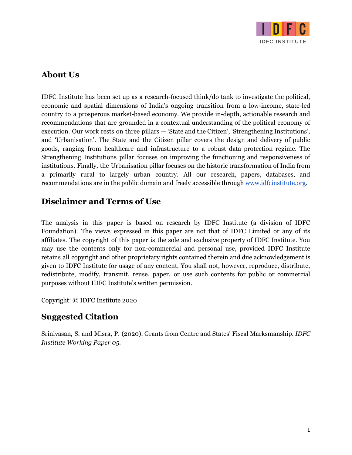

### **About Us**

IDFC Institute has been set up as a research-focused think/do tank to investigate the political, economic and spatial dimensions of India's ongoing transition from a low-income, state-led country to a prosperous market-based economy. We provide in-depth, actionable research and recommendations that are grounded in a contextual understanding of the political economy of execution. Our work rests on three pillars — 'State and the Citizen', 'Strengthening Institutions', and 'Urbanisation'. The State and the Citizen pillar covers the design and delivery of public goods, ranging from healthcare and infrastructure to a robust data protection regime. The Strengthening Institutions pillar focuses on improving the functioning and responsiveness of institutions. Finally, the Urbanisation pillar focuses on the historic transformation of India from a primarily rural to largely urban country. All our research, papers, databases, and recommendations are in the public domain and freely accessible through [www.idfcinstitute.org](http://www.idfcinstitute.org/).

### **Disclaimer and Terms of Use**

The analysis in this paper is based on research by IDFC Institute (a division of IDFC Foundation). The views expressed in this paper are not that of IDFC Limited or any of its affiliates. The copyright of this paper is the sole and exclusive property of IDFC Institute. You may use the contents only for non-commercial and personal use, provided IDFC Institute retains all copyright and other proprietary rights contained therein and due acknowledgement is given to IDFC Institute for usage of any content. You shall not, however, reproduce, distribute, redistribute, modify, transmit, reuse, paper, or use such contents for public or commercial purposes without IDFC Institute's written permission.

Copyright: © IDFC Institute 2020

### **Suggested Citation**

Srinivasan, S. and Misra, P. (2020). Grants from Centre and States' Fiscal Marksmanship. *IDFC Institute Working Paper 05.*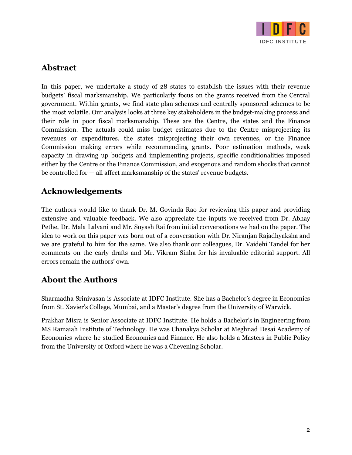

### **Abstract**

In this paper, we undertake a study of 28 states to establish the issues with their revenue budgets' fiscal marksmanship. We particularly focus on the grants received from the Central government. Within grants, we find state plan schemes and centrally sponsored schemes to be the most volatile. Our analysis looks at three key stakeholders in the budget-making process and their role in poor fiscal marksmanship. These are the Centre, the states and the Finance Commission. The actuals could miss budget estimates due to the Centre misprojecting its revenues or expenditures, the states misprojecting their own revenues, or the Finance Commission making errors while recommending grants. Poor estimation methods, weak capacity in drawing up budgets and implementing projects, specific conditionalities imposed either by the Centre or the Finance Commission, and exogenous and random shocks that cannot be controlled for — all affect marksmanship of the states' revenue budgets.

### **Acknowledgements**

The authors would like to thank Dr. M. Govinda Rao for reviewing this paper and providing extensive and valuable feedback. We also appreciate the inputs we received from Dr. Abhay Pethe, Dr. Mala Lalvani and Mr. Suyash Rai from initial conversations we had on the paper. The idea to work on this paper was born out of a conversation with Dr. Niranjan Rajadhyaksha and we are grateful to him for the same. We also thank our colleagues, Dr. Vaidehi Tandel for her comments on the early drafts and Mr. Vikram Sinha for his invaluable editorial support. All errors remain the authors' own.

### **About the Authors**

Sharmadha Srinivasan is Associate at IDFC Institute. She has a Bachelor's degree in Economics from St. Xavier's College, Mumbai, and a Master's degree from the University of Warwick.

Prakhar Misra is Senior Associate at IDFC Institute. He holds a Bachelor's in Engineering from MS Ramaiah Institute of Technology. He was Chanakya Scholar at Meghnad Desai Academy of Economics where he studied Economics and Finance. He also holds a Masters in Public Policy from the University of Oxford where he was a Chevening Scholar.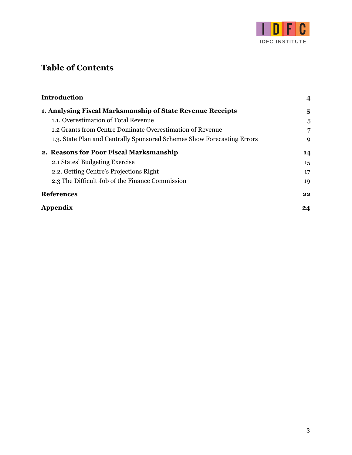

## **Table of Contents**

| <b>Introduction</b>                                                     | 4              |
|-------------------------------------------------------------------------|----------------|
| 1. Analysing Fiscal Marksmanship of State Revenue Receipts              | 5              |
| 1.1. Overestimation of Total Revenue                                    | 5              |
| 1.2 Grants from Centre Dominate Overestimation of Revenue               | $\overline{7}$ |
| 1.3. State Plan and Centrally Sponsored Schemes Show Forecasting Errors | 9              |
| 2. Reasons for Poor Fiscal Marksmanship                                 | 14             |
| 2.1 States' Budgeting Exercise                                          | 15             |
| 2.2. Getting Centre's Projections Right                                 | 17             |
| 2.3 The Difficult Job of the Finance Commission                         | 19             |
| <b>References</b>                                                       | 22             |
| Appendix                                                                | 24             |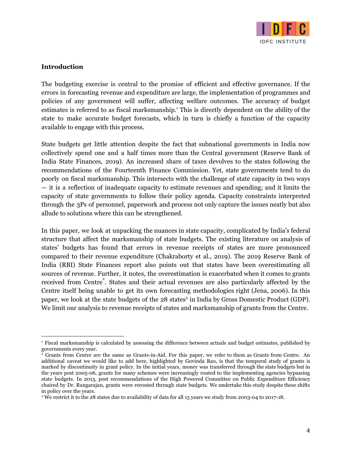

#### <span id="page-4-0"></span>**Introduction**

The budgeting exercise is central to the promise of efficient and effective governance. If the errors in forecasting revenue and expenditure are large, the implementation of programmes and policies of any government will suffer, affecting welfare outcomes. The accuracy of budget estimates is referred to as fiscal marksmanship.<sup>1</sup> This is directly dependent on the ability of the state to make accurate budget forecasts, which in turn is chiefly a function of the capacity available to engage with this process.

State budgets get little attention despite the fact that subnational governments in India now collectively spend one and a half times more than the Central government (Reserve Bank of India State Finances, 2019). An increased share of taxes devolves to the states following the recommendations of the Fourteenth Finance Commission. Yet, state governments tend to do poorly on fiscal marksmanship. This intersects with the challenge of state capacity in two ways — it is a reflection of inadequate capacity to estimate revenues and spending; and it limits the capacity of state governments to follow their policy agenda. Capacity constraints interpreted through the 3Ps of personnel, paperwork and process not only capture the issues neatly but also allude to solutions where this can be strengthened.

In this paper, we look at unpacking the nuances in state capacity, complicated by India's federal structure that affect the marksmanship of state budgets. The existing literature on analysis of states' budgets has found that errors in revenue receipts of states are more pronounced compared to their revenue expenditure (Chakraborty et al., 2019). The 2019 Reserve Bank of India (RBI) State Finances report also points out that states have been overestimating all sources of revenue. Further, it notes, the overestimation is exacerbated when it comes to grants received from Centre<sup>2</sup>. States and their actual revenues are also particularly affected by the Centre itself being unable to get its own forecasting methodologies right (Jena, 2006). In this paper, we look at the state budgets of the 28 states<sup>3</sup> in India by Gross Domestic Product (GDP). We limit our analysis to revenue receipts of states and marksmanship of grants from the Centre.

<sup>&</sup>lt;sup>1</sup> Fiscal marksmanship is calculated by assessing the difference between actuals and budget estimates, published by governments every year.

<sup>2</sup> Grants from Centre are the same as Grants-in-Aid. For this paper, we refer to them as Grants from Centre. An additional caveat we would like to add here, highlighted by Govinda Rao, is that the temporal study of grants is marked by discontinuity in grant policy. In the initial years, money was transferred through the state budgets but in the years post 2005-06, grants for many schemes were increasingly routed to the implementing agencies bypassing state budgets. In 2013, post recommendations of the High Powered Committee on Public Expenditure Efficiency chaired by Dr. Rangarajan, grants were rerouted through state budgets. We undertake this study despite these shifts in policy over the years.

<sup>&</sup>lt;sup>3</sup> We restrict it to the 28 states due to availability of data for all 15 years we study from 2003-04 to 2017-18.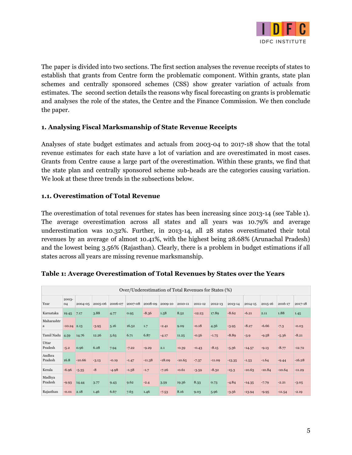

The paper is divided into two sections. The first section analyses the revenue receipts of states to establish that grants from Centre form the problematic component. Within grants, state plan schemes and centrally sponsored schemes (CSS) show greater variation of actuals from estimates. The second section details the reasons why fiscal forecasting on grants is problematic and analyses the role of the states, the Centre and the Finance Commission. We then conclude the paper.

#### <span id="page-5-0"></span>**1. Analysing Fiscal Marksmanship of State Revenue Receipts**

Analyses of state budget estimates and actuals from 2003-04 to 2017-18 show that the total revenue estimates for each state have a lot of variation and are overestimated in most cases. Grants from Centre cause a large part of the overestimation. Within these grants, we find that the state plan and centrally sponsored scheme sub-heads are the categories causing variation. We look at these three trends in the subsections below.

#### <span id="page-5-1"></span>**1.1. Overestimation of Total Revenue**

The overestimation of total revenues for states has been increasing since 2013-14 (see Table 1). The average overestimation across all states and all years was 10.79% and average underestimation was 10.32%. Further, in 2013-14, all 28 states overestimated their total revenues by an average of almost 10.41%, with the highest being 28.68% (Arunachal Pradesh) and the lowest being 3.56% (Rajasthan). Clearly, there is a problem in budget estimations if all states across all years are missing revenue marksmanship.

|                   | Over/Underestimation of Total Revenues for States (%) |          |         |         |         |          |          |          |          |          |          |          |          |          |          |
|-------------------|-------------------------------------------------------|----------|---------|---------|---------|----------|----------|----------|----------|----------|----------|----------|----------|----------|----------|
| Year              | 2003-<br>04                                           | 2004-05  | 2005-06 | 2006-07 | 2007-08 | 2008-09  | 2009-10  | 2010-11  | 2011-12  | 2012-13  | 2013-14  | 2014-15  | 2015-16  | 2016-17  | 2017-18  |
| Karnataka         | 19.45                                                 | 7.17     | 3.88    | 4.77    | 0.95    | $-8.36$  | 1.58     | 8.52     | $-12.23$ | 17.89    | $-8.62$  | $-6.21$  | 2.11     | 1.88     | 1.45     |
| Maharashtr<br>a   | $-10.24$ 2.13                                         |          | $-3.95$ | 5.16    | 16.52   | 1.7      | $-2.41$  | 9.09     | $-0.18$  | 4.56     | $-3.95$  | $-8.27$  | $-6.66$  | $-7.3$   | $-0.03$  |
| Tamil Nadu        | 4.59                                                  | 14.76    | 12.26   | 5.63    | 6.71    | 6.87     | $-4.17$  | 11.25    | $-0.56$  | $-1.75$  | $-8.89$  | $-3.9$   | $-9.58$  | $-5.36$  | $-8.21$  |
| Uttar<br>Pradesh  | $-5.2$                                                | 0.96     | 6.28    | 7.94    | $-7.22$ | $-9.29$  | 2.1      | $-0.39$  | $-0.43$  | $-8.15$  | $-5.36$  | $-14.57$ | $-9.13$  | $-8.77$  | $-12.72$ |
| Andhra<br>Pradesh | 16.8                                                  | $-10.66$ | $-3.13$ | $-0.19$ | $-1.47$ | $-11.38$ | $-18.09$ | $-10.65$ | $-7.37$  | $-11.09$ | $-13.35$ | $-1.53$  | $-1.64$  | $-9.44$  | $-16.28$ |
| Kerala            | $-6.96$                                               | $-5.35$  | $-8$    | $-4.98$ | $-1.58$ | $-1.7$   | $-7.26$  | $-0.61$  | $-3.59$  | $-8.32$  | $-15.3$  | $-10.63$ | $-10.84$ | $-10.64$ | $-11.29$ |
| Madhya<br>Pradesh | $-9.93$                                               | 14.44    | 3.77    | 9.43    | 9.62    | $-2.4$   | 3.59     | 19.36    | 8.33     | 0.73     | $-4.84$  | $-14.35$ | $-7.79$  | $-2.21$  | $-3.05$  |
| Rajasthan         | $-0.01$                                               | 2.18     | 1.46    | 6.67    | 7.63    | 1.46     | $-7.53$  | 8.16     | 9.03     | 5.96     | $-3.56$  | $-13.94$ | $-9.95$  | $-11.54$ | $-2.19$  |

#### **Table 1: Average Overestimation of Total Revenues by States over the Years**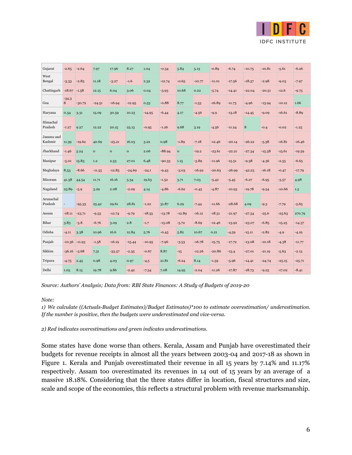

| Gujarat              | -2.65        | $-2.64$  | 7.97         | 17.96        | 8.27         | 1.04     | $-0.34$  | 5.84         | 5.13     | $-0.89$  | $-6.74$  | $-10.75$ | $-10.81$ | $-5.61$  | $-6.26$  |
|----------------------|--------------|----------|--------------|--------------|--------------|----------|----------|--------------|----------|----------|----------|----------|----------|----------|----------|
| West<br>Bengal       | $-3.33$      | $-2.83$  | 11.18        | $-3.27$      | $-1.6$       | 2.32     | $-12.74$ | $-0.65$      | $-10.77$ | $-11.01$ | $-17.56$ | $-18.37$ | $-2.98$  | $-9.03$  | $-7.97$  |
| Chattisgarh          | $-18.67$     | $-1.58$  | 12.15        | 6.04         | 3.06         | 0.04     | $-3.93$  | 10.68        | 0.22     | $-5.74$  | $-14.41$ | $-22.04$ | $-20.51$ | $-12.6$  | $-9.75$  |
| Goa                  | $-34.3$<br>8 | $-30.72$ | $-24.51$     | $-16.94$     | $-12.95$     | 0.53     | $-0.88$  | 8.77         | $-1.53$  | $-16.89$ | $-11.73$ | $-4.96$  | $-13.94$ | $-10.12$ | 1.66     |
| Haryana              | 0.34         | 3.31     | 15.09        | 30.59        | 10.23        | $-14.95$ | $-6.44$  | 4.17         | $-4.56$  | $-9.9$   | $-13.18$ | $-14.45$ | $-9.09$  | $-16.61$ | $-8.89$  |
| Himachal<br>Pradesh  | $-1.27$      | 9.27     | 12.22        | 20.15        | 25.13        | $-0.95$  | $-1.26$  | 9.68         | 3.19     | $-4.56$  | $-11.24$ | 8        | $-0.4$   | $-0.02$  | $-1.25$  |
| Jammu and<br>Kashmir | 11.39        | $-19.62$ | 40.69        | $-25.21$     | 16.03        | 3.22     | 0.98     | $-1.89$      | $-7.18$  | $-12.46$ | $-20.14$ | $-26.22$ | $-5.38$  | $-16.81$ | $-16.46$ |
| Jharkhand            | $-1.46$      | 5.24     | $\mathbf{o}$ | $\mathbf{o}$ | $\mathbf{o}$ | 2.06     | $-88.94$ | $\mathbf{o}$ | $-19.2$  | $-23.61$ | $-22.21$ | $-27.34$ | $-15.38$ | $-15.61$ | $-19.59$ |
| Manipur              | $-5.01$      | 15.83    | 1.2          | 2.53         | 27.01        | 6.48     | $-90.33$ | 1.15         | $-3.89$  | $-11.96$ | $-15.51$ | $-9.38$  | $-4.36$  | $-2.55$  | $-6.65$  |
| Meghalaya            | 8.53         | $-8.66$  | $-11.55$     | $-12.85$     | $-24.69$     | $-24.1$  | $-9.43$  | $-3.03$      | $-16.92$ | $-20.63$ | -26.99   | $-42.23$ | $-16.18$ | $-0.47$  | $-17.79$ |
| Mizoram              | 41.38        | 44.54    | 11.71        | 16.16        | 5.34         | 19.63    | $-1.52$  | 3.71         | 7.03     | $-5.42$  | $-5.45$  | $-6.27$  | $-6.95$  | $-3.57$  | 4.98     |
| Nagaland             | 25.89        | $-5.9$   | 3.29         | 2.08         | $-2.09$      | 4.14     | $-4.86$  | $-6.62$      | $-0.45$  | $-4.87$  | $-10.93$ | $-19.78$ | $-9.54$  | $-10.66$ | 1.5      |
| Arunachal<br>Pradesh |              | $-95.33$ | 25.42        | 29.61        | 28.81        | $-1.22$  | 31.87    | 6.29         | $-7.44$  | $-11.66$ | $-28.68$ | 4.09     | $-9.3$   | $-7.79$  | $-5.65$  |
| Assam                | $-18.11$     | $-23.71$ | $-9.53$      | $-12.74$     | $-9.79$      | $-18.55$ | $-13.78$ | $-12.89$     | $-16.12$ | $-18.51$ | $-21.97$ | $-27.54$ | $-25.6$  | $-25.63$ | 270.79   |
| Bihar                | 3.83         | $-3.8$   | $-6.76$      | 3.09         | 2.8          | $-1.7$   | $-15.08$ | $-5.72$      | $-8.69$  | $-12.46$ | $-13.92$ | $-23.07$ | $-6.85$  | $-15.25$ | $-14.37$ |
| Odisha               | $-4.11$      | 3.38     | 10.96        | 16.6         | 12.84        | 5.76     | $-0.45$  | 5.82         | 10.67    | 0.21     | $-4.59$  | $-15.11$ | $-2.82$  | $-4.9$   | $-4.19$  |
| Punjab               | -10.36       | $-11.93$ | $-1.58$      | $-16.19$     | $-15.44$     | $-10.95$ | $-7.96$  | $-3.53$      | $-16.78$ | $-15.75$ | $-17.72$ | $-13.08$ | $-10.18$ | $-4.38$  | $-11.77$ |
| Sikkim               | $-36.16$     | $-3.68$  | 7.31         | $-33.57$     | $-2.35$      | $-0.67$  | 8.87     | $-15$        | $-12.26$ | $-20.86$ | $-13.4$  | $-27.01$ | $-21.19$ | $-5.63$  | $-2.13$  |
| Tripura              | $-4.75$      | 2.45     | 0.98         | 4.03         | 0.97         | $-4.5$   | 21.81    | $-6.24$      | 8.14     | $-1.59$  | $-5.96$  | $-14.41$ | $-24.74$ | $-25.15$ | $-25.71$ |
| Delhi                | 1.05         | 8.15     | 19.78        | 9.86         | $-2.42$      | $-7.34$  | 7.08     | 14.95        | $-2.04$  | $-11.26$ | $-17.87$ | $-18.73$ | $-9.25$  | $-17.02$ | $-8.41$  |

*Source: Authors' Analysis; Data from: RBI State Finances: A Study of Budgets of 2019-20*

*Note:*

*1) We calculate ((Actuals-Budget Estimates)/Budget Estimates)\*100 to estimate overestimation/ underestimation. If the number is positive, then the budgets were underestimated and vice-versa.*

*2) Red indicates overestimations and green indicates underestimations.*

Some states have done worse than others. Kerala, Assam and Punjab have overestimated their budgets for revenue receipts in almost all the years between 2003-04 and 2017-18 as shown in Figure 1. Kerala and Punjab overestimated their revenue in all 15 years by 7.14% and 11.17% respectively. Assam too overestimated its revenues in 14 out of 15 years by an average of a massive 18.18%. Considering that the three states differ in location, fiscal structures and size, scale and scope of the economies, this reflects a structural problem with revenue marksmanship.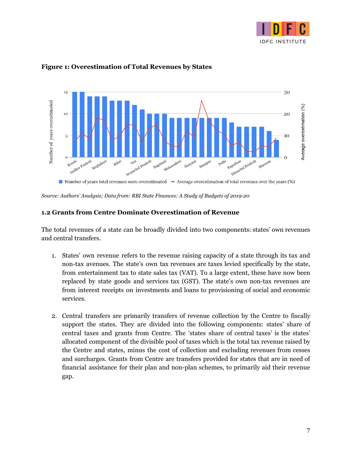



#### **Figure 1: Overestimation of Total Revenues by States**

*Source: Authors' Analysis; Data from: RBI State Finances: A Study of Budgets of 2019-20*

#### <span id="page-7-0"></span>**1.2 Grants from Centre Dominate Overestimation of Revenue**

The total revenues of a state can be broadly divided into two components: states' own revenues and central transfers.

- 1. States' own revenue refers to the revenue raising capacity of a state through its tax and non-tax avenues. The state's own tax revenues are taxes levied specifically by the state, from entertainment tax to state sales tax (VAT). To a large extent, these have now been replaced by state goods and services tax (GST). The state's own non-tax revenues are from interest receipts on investments and loans to provisioning of social and economic services.
- 2. Central transfers are primarily transfers of revenue collection by the Centre to fiscally support the states. They are divided into the following components: states' share of central taxes and grants from Centre. The 'states share of central taxes' is the states' allocated component of the divisible pool of taxes which is the total tax revenue raised by the Centre and states, minus the cost of collection and excluding revenues from cesses and surcharges. Grants from Centre are transfers provided for states that are in need of financial assistance for their plan and non-plan schemes, to primarily aid their revenue gap.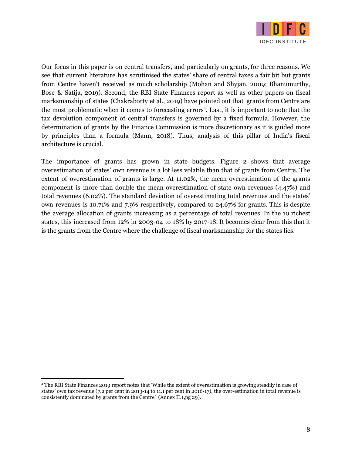

Our focus in this paper is on central transfers, and particularly on grants, for three reasons. We see that current literature has scrutinised the states' share of central taxes a fair bit but grants from Centre haven't received as much scholarship (Mohan and Shyjan, 2009; Bhanumurthy, Bose & Satija, 2019). Second, the RBI State Finances report as well as other papers on fiscal marksmanship of states (Chakraborty et al., 2019) have pointed out that grants from Centre are the most problematic when it comes to forecasting errors<sup>4</sup>. Last, it is important to note that the tax devolution component of central transfers is governed by a fixed formula. However, the determination of grants by the Finance Commission is more discretionary as it is guided more by principles than a formula (Mann, 2018). Thus, analysis of this pillar of India's fiscal architecture is crucial.

The importance of grants has grown in state budgets. Figure 2 shows that average overestimation of states' own revenue is a lot less volatile than that of grants from Centre. The extent of overestimation of grants is large. At 11.02%, the mean overestimation of the grants component is more than double the mean overestimation of state own revenues (4.47%) and total revenues (6.02%). The standard deviation of overestimating total revenues and the states' own revenues is 10.71% and 7.9% respectively, compared to 24.67% for grants. This is despite the average allocation of grants increasing as a percentage of total revenues. In the 10 richest states, this increased from 12% in 2003-04 to 18% by 2017-18. It becomes clear from this that it is the grants from the Centre where the challenge of fiscal marksmanship for the states lies.

<sup>4</sup> The RBI State Finances 2019 report notes that 'While the extent of overestimation is growing steadily in case of states' own tax revenue (7.2 per cent in 2013-14 to 11.1 per cent in 2016-17), the over-estimation in total revenue is consistently dominated by grants from the Centre' (Annex II.1,pg 29).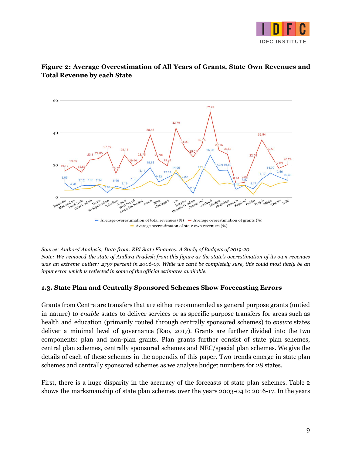



#### **Figure 2: Average Overestimation of All Years of Grants, State Own Revenues and Total Revenue by each State**

*Source: Authors' Analysis; Data from: RBI State Finances: A Study of Budgets of 2019-20* Note: We removed the state of Andhra Pradesh from this figure as the state's overestimation of its own revenues was an extreme outlier: 2797 percent in 2006-07. While we can't be completely sure, this could most likely be an *input error which is reflected in some of the official estimates available.*

#### <span id="page-9-0"></span>**1.3. State Plan and Centrally Sponsored Schemes Show Forecasting Errors**

Grants from Centre are transfers that are either recommended as general purpose grants (untied in nature) to *enable* states to deliver services or as specific purpose transfers for areas such as health and education (primarily routed through centrally sponsored schemes) to *ensure* states deliver a minimal level of governance (Rao, 2017). Grants are further divided into the two components: plan and non-plan grants. Plan grants further consist of state plan schemes, central plan schemes, centrally sponsored schemes and NEC/special plan schemes. We give the details of each of these schemes in the appendix of this paper. Two trends emerge in state plan schemes and centrally sponsored schemes as we analyse budget numbers for 28 states.

First, there is a huge disparity in the accuracy of the forecasts of state plan schemes. Table 2 shows the marksmanship of state plan schemes over the years 2003-04 to 2016-17. In the years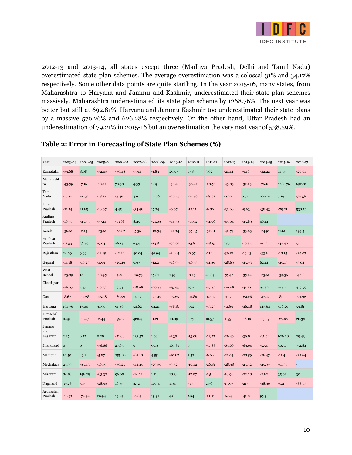

2012-13 and 2013-14, all states except three (Madhya Pradesh, Delhi and Tamil Nadu) overestimated state plan schemes. The average overestimation was a colossal 31% and 34.17% respectively. Some other data points are quite startling. In the year 2015-16, many states, from Maharashtra to Haryana and Jammu and Kashmir, underestimated their state plan schemes massively. Maharashtra underestimated its state plan scheme by 1268.76%. The next year was better but still at 692.81%. Haryana and Jammu Kashmir too underestimated their state plans by a massive 576.26% and 626.28% respectively. On the other hand, Uttar Pradesh had an underestimation of 79.21% in 2015-16 but an overestimation the very next year of 538.59%.

| Year                    | 2003-04      | 2004-05      | 2005-06  | 2006-07  | 2007-08      | 2008-09  | 2009-10  | 2010-11      | 2011-12  | 2012-13  | 2013-14  | 2014-15  | 2015-16  | 2016-17  |
|-------------------------|--------------|--------------|----------|----------|--------------|----------|----------|--------------|----------|----------|----------|----------|----------|----------|
| Karnataka               | $-39.68$     | 8.08         | $-32.03$ | $-30.48$ | $-5.94$      | $-1.83$  | 29.57    | 17.85        | 3.02     | $-21.44$ | $-9.16$  | $-42.22$ | 14.95    | $-20.04$ |
| Maharasht<br>ra         | $-43.59$     | $-7.16$      | $-18.22$ | 78.38    | 4.35         | 1.89     | $-36.4$  | $-30.42$     | $-28.58$ | $-43.83$ | $-52.23$ | $-76.16$ | 1286.76  | 692.81   |
| Tamil<br>Nadu           | $-17.87$     | $-2.58$      | $-18.17$ | $-3.46$  | 4.9          | 19.06    | $-20.55$ | $-25.86$     | $-18.01$ | $-9.22$  | 0.74     | 290.24   | 7.19     | $-36.56$ |
| Uttar<br>Pradesh        | $-21.74$     | 21.65        | $-16.07$ | 4.45     | $-34.98$     | 17.74    | $-0.97$  | $-12.15$     | $-9.89$  | $-33.66$ | $-9.63$  | $-38.43$ | $-79.21$ | 538.59   |
| Andhra<br>Pradesh       | $-16.37$     | $-45.53$     | $-37.14$ | $-13.68$ | 8.25         | $-21.03$ | $-44.53$ | $-57.02$     | $-31.06$ | $-45.04$ | $-45.89$ | 46.14    |          |          |
| Kerala                  | $-36.61$     | $-2.13$      | -23.61   | $-20.67$ | $-5.36$      | $-18.54$ | $-42.74$ | $-35.65$     | $-32.61$ | $-42.74$ | $-53.03$ | $-24.91$ | 11.61    | 193.5    |
| Madhya<br>Pradesh       | $-11.33$     | 36.89        | $-9.04$  | 26.14    | 6.54         | $-13.8$  | $-93.03$ | $-13.8$      | $-28.15$ | 38.5     | $-10.85$ | $-61.2$  | $-47.49$ | $-5$     |
| Rajasthan               | 24.09        | 9.99         | $-12.19$ | $-12.26$ | 40.04        | 49.94    | $-24.65$ | $-0.97$      | $-21.14$ | $-30.01$ | $-19.43$ | $-33.16$ | $-18.15$ | $-29.07$ |
| Gujarat                 | $-14.18$     | $-10.23$     | $-4.99$  | $-26.46$ | 0.67         | $-12.2$  | $-46.95$ | $-46.53$     | $-41.39$ | $-28.69$ | $-45.93$ | 62.14    | $-46.19$ | $-3.04$  |
| West<br>Bengal          | $-23.89$     | $1.1\,$      | $-18.95$ | $-9.06$  | $-10.73$     | 17.81    | 1.93     | $-8.23$      | 46.89    | $-57.42$ | $-55.24$ | $-23.62$ | $-39.36$ | $-40.86$ |
| Chattisgar<br>h         | $-26.97$     | 5.45         | $-19.33$ | 19.54    | $-18.08$     | $-30.88$ | $-15.43$ | 39.71        | $-27.83$ | $-20.08$ | $-41.19$ | 95.82    | 218.41   | 419.99   |
| Goa                     | $-8.67$      | $-15.28$     | $-55.58$ | $-62.53$ | 14.55        | $-25.45$ | $-57.25$ | $-31.89$     | $-67.02$ | $-37.71$ | $-29.26$ | $-47.32$ | $-80$    | $-33.32$ |
| Haryana                 | 104.76       | 17.04        | 91.95    | 91.86    | 54.62        | 62.21    | $-88.87$ | 5.02         | $-53.23$ | $-51.89$ | $-46.48$ | 143.64   | 576.26   | 59.81    |
| Himachal<br>Pradesh     | 0.49         | $-11.47$     | $-6.44$  | $-59.12$ | 466.4        | $-1.21$  | 10.09    | 2.27         | 10.57    | $-1.55$  | $-18.16$ | $-15.09$ | $-27.66$ | 20.38    |
| Jammu<br>and<br>Kashmir | 2.27         | 6.57         | 0.28     | $-71.66$ | 133.37       | 1.98     | $-1.38$  | $-13.08$     | $-23.77$ | $-26.49$ | $-39.8$  | $-15.04$ | 626.28   | 29.43    |
| Jharkhand               | $\mathbf{o}$ | $\mathbf{o}$ | $-36.66$ | 27.65    | $\mathbf{o}$ | 90.3     | 167.81   | $\mathbf{o}$ | $-57.88$ | $-63.66$ | $-69.64$ | $-5.54$  | 50.57    | 751.84   |
| Manipur                 | 10.59        | 49.2         | $-5.87$  | 255.86   | $-82.18$     | 4.55     | $-10.87$ | 2.52         | $-6.66$  | $-21.03$ | $-28.59$ | $-26.47$ | $-11.4$  | $-22.64$ |
| Meghalaya               | 23.39        | $-35.43$     | $-16.79$ | $-30.25$ | $-44.25$     | $-29.36$ | $-9.32$  | $-10.42$     | $-26.81$ | $-28.98$ | $-25.32$ | $-25.99$ | $-51.35$ | ä,       |
| Mizoram                 | 84.18        | 146.29       | $-83.32$ | 96.68    | $-14.22$     | 1.11     | 18.34    | $-17.07$     | $-1.5$   | $-16.96$ | $-22.28$ | $-2.62$  | 35.92    | 30       |
| Nagaland                | 39.28        | $-1.3$       | $-28.93$ | 16.35    | 3.72         | 10.34    | 1.94     | $-3.53$      | 2.36     | $-13.97$ | $-21.9$  | $-38.36$ | $-5.2$   | $-88.95$ |
| Arunachal<br>Pradesh    | $-16.37$     | $-74.94$     | 20.94    | 13.69    | $-0.89$      | 19.91    | 4.8      | 7.94         | $-21.91$ | $-6.64$  | $-41.26$ | 95.9     |          |          |

#### **Table 2: Error in Forecasting of State Plan Schemes (%)**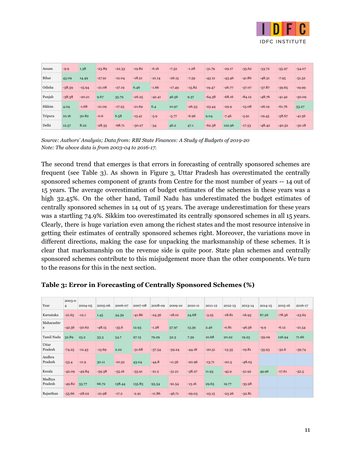

| Assam   | $-9.9$   | 1.38     | $-23.89$ | $-22.33$ | $-19.82$ | $-6.16$  | $-7.52$  | $-1.28$  | $-31.79$ | $-29.17$ | $-35.62$ | $-33.72$ | $-55.97$ | $-54.07$ |
|---------|----------|----------|----------|----------|----------|----------|----------|----------|----------|----------|----------|----------|----------|----------|
| Bihar   | 43.09    | 14.49    | $-27.91$ | $-12.04$ | $-18.21$ | $-21.14$ | $-26.15$ | $-7.59$  | $-43.12$ | $-43.46$ | $-41.86$ | $-48.31$ | $-7.95$  | $-51.52$ |
| Odisha  | $-38.39$ | $-15.94$ | $-21.08$ | $-27.19$ | 6.46     | $-1.66$  | $-17.49$ | $-15.82$ | $-19.47$ | $-26.77$ | $-37.07$ | $-37.87$ | $-39.65$ | $-19.99$ |
| Punjab  | $-38.38$ | $-20.21$ | 9.67     | 35.79    | $-26.25$ | $-42.41$ | 46.56    | 9.37     | $-64.38$ | $-68.16$ | $-84.12$ | $-48.76$ | $-41.42$ | $-50.09$ |
| Sikkim  | 4.04     | $-1.68$  | $-21.09$ | $-17.25$ | $-21.69$ | 6.4      | 10.97    | $-26.33$ | $-23.44$ | $-29.9$  | $-15.08$ | $-26.19$ | $-61.76$ | 53.27    |
| Tripura | 10.16    | 30.82    | $-0.6$   | 6.58     | $-15.41$ | $-5.9$   | $-5.77$  | $-6.96$  | 9.04     | $-7.46$  | $-5.91$  | $-19.45$ | $-58.67$ | $-41.56$ |
| Delhi   | 12.57    | 8.22     | $-28.35$ | $-68.71$ | $-30.27$ | $-34$    | 46.2     | 47.1     | $-62.38$ | 122.96   | $-17.53$ | $-48.42$ | $-40.52$ | $-30.18$ |

*Source: Authors' Analysis; Data from: RBI State Finances: A Study of Budgets of 2019-20 Note: The above data is from 2003-04 to 2016-17.*

The second trend that emerges is that errors in forecasting of centrally sponsored schemes are frequent (see Table 3). As shown in Figure 3, Uttar Pradesh has overestimated the centrally sponsored schemes component of grants from Centre for the most number of years -- 14 out of 15 years. The average overestimation of budget estimates of the schemes in these years was a high 32.45%. On the other hand, Tamil Nadu has underestimated the budget estimates of centrally sponsored schemes in 14 out of 15 years. The average underestimation for these years was a startling 74.9%. Sikkim too overestimated its centrally sponsored schemes in all 15 years. Clearly, there is huge variation even among the richest states and the most resource intensive in getting their estimates of centrally sponsored schemes right. Moreover, the variations move in different directions, making the case for unpacking the marksmanship of these schemes. It is clear that marksmanship on the revenue side is quite poor. State plan schemes and centrally sponsored schemes contribute to this misjudgement more than the other components. We turn to the reasons for this in the next section.

| Year              | 2003-0<br>$\overline{4}$ | 2004-05  | 2005-06  | 2006-07  | 2007-08  | 2008-09  | 2009-10  | 2010-11  | 2011-12  | 2012-13  | 2013-14  | 2014-15  | 2015-16  | 2016-17  |
|-------------------|--------------------------|----------|----------|----------|----------|----------|----------|----------|----------|----------|----------|----------|----------|----------|
| Karnataka         | $-21.65$                 | $-12.1$  | 1.45     | 34.39    | $-41.86$ | $-24.36$ | $-18.01$ | 24.68    | $-3.25$  | $-18.81$ | $-16.93$ | 67.26    | $-78.36$ | $-23.62$ |
| Maharashtr<br>a   | $-42.56$                 | $-50.62$ | $-48.15$ | $-35.6$  | 12.93    | $-1.28$  | 57.97    | 13.39    | 2.46     | $-0.81$  | $-46.56$ | $-9.9$   | $-6.12$  | $-21.54$ |
| Tamil Nadu        | 32.89                    | 25.2     | 33.3     | 54.7     | 97.15    | 79.29    | 32.3     | 7.39     | 10.68    | 20.22    | 19.23    | $-59.09$ | 126.94   | 71.66    |
| Uttar<br>Pradesh  | $-74.25$                 | $-12.43$ | $-13.69$ | 2.22     | $-31.68$ | $-37.54$ | $-39.24$ | $-44.18$ | $-20.51$ | $-13.35$ | $-19.81$ | $-35.93$ | $-32.6$  | $-39.74$ |
| Andhra<br>Pradesh | $-53.4$                  | $-11.9$  | 30.11    | $-10.52$ | 43.04    | $-44.8$  | $-11.56$ | $-20.96$ | $-13.71$ | $-20.3$  | $-48.05$ |          |          |          |
| Kerala            | $-42.09$                 | $-49.84$ | $-59.38$ | $-55.16$ | $-55.91$ | $-21.2$  | $-31.21$ | $-38.27$ | 11.93    | $-45.9$  | $-51.92$ | 49.96    | $-17.61$ | $-52.5$  |
| Madhya<br>Pradesh | $-49.82$                 | 33.77    | 66.72    | 138.44   | 135.83   | 93.34    | $-91.54$ | $-13.16$ | 29.65    | 19.77    | $-35.98$ |          |          |          |
| Rajasthan         | $-55.66$                 | $-28.02$ | $-21.98$ | $-17.2$  | $-2.91$  | $-11.86$ | $-46.71$ | $-29.03$ | $-23.15$ | $-23.26$ | $-32.81$ |          |          |          |

#### **Table 3: Error in Forecasting of Centrally Sponsored Schemes (%)**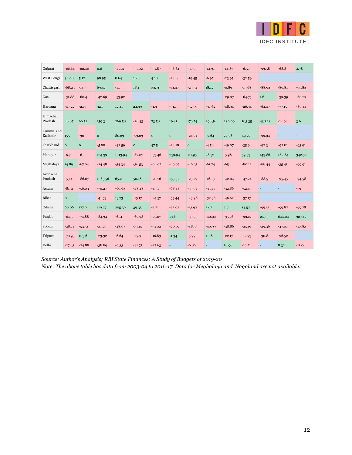

| Gujarat              | $-66.64$     | $-22.46$     | 0.6          | $-15.72$ | $-51.02$     | $-31.87$     | $-36.64$     | $-39.93$     | $-14.31$ | $-14.83$ | $-6.57$  | $-93.58$                 | $-68.8$                  | 4.78                     |
|----------------------|--------------|--------------|--------------|----------|--------------|--------------|--------------|--------------|----------|----------|----------|--------------------------|--------------------------|--------------------------|
| West Bengal          | 34.08        | 5.12         | 98.95        | 8.64     | 16.6         | 4.18         | $-24.68$     | $-19.45$     | $-6.97$  | $-23.95$ | $-32.59$ |                          |                          |                          |
| Chattisgarh          | $-68.23$     | $-14.3$      | 69.47        | $-1.7$   | 18.1         | 33.71        | $-41.47$     | $-23.54$     | 18.12    | $-0.89$  | $-15.68$ | $-88.93$                 | $-89.81$                 | $-95.83$                 |
| Goa                  | $-31.88$     | $-60.4$      | $-42.69$     | $-53.92$ | ÷            |              |              | ÷            |          | $-29.07$ | $-64.75$ | 1.6                      | $-39.39$                 | $-60.29$                 |
| Haryana              | $-47.22$     | $-2.17$      | 32.7         | 12.41    | 24.99        | $-1.9$       | $-91.1$      | $-52.99$     | $-37.62$ | $-48.94$ | $-26.34$ | $-64.47$                 | $-77.15$                 | $-80.44$                 |
| Himachal<br>Pradesh  | 48.87        | 66.52        | 159.3        | 269.58   | $-26.43$     | 73.58        | 194.1        | 176.74       | 298.56   | 230.09   | 183.35   | 438.23                   | $-14.94$                 | 3.6                      |
| Jammu and<br>Kashmir | 155          | $-30$        | $\mathbf{o}$ | 80.23    | $-73.03$     | $\mathbf{o}$ | $\mathbf{o}$ | $-24.91$     | 52.64    | 29.96    | 49.27    | $-99.94$                 | $\overline{\phantom{a}}$ |                          |
| Jharkhand            | $\mathbf{o}$ | $\mathbf{o}$ | $-5.88$      | $-42.59$ | $\mathbf{o}$ | 47.54        | $-24.18$     | $\mathbf{o}$ | $-4.56$  | $-49.07$ | $-35.9$  | $-92.3$                  | $-92.81$                 | $-93.91$                 |
| Manipur              | $-6.7$       | $-6$         | 124.39       | 1013.94  | $-87.07$     | $-53.46$     | 259.94       | 111.95       | 28.52    | $-5.98$  | 59.33    | 143.86                   | 182.84                   | 342.37                   |
| Meghalaya            | 14.89        | $-67.04$     | $-24.48$     | $-54.34$ | $-56.53$     | $-64.07$     | $-49.07$     | $-46.65$     | $-61.74$ | $-65.4$  | $-80.12$ | $-88.44$                 | $-35.41$                 | $-99.91$                 |
| Arunachal<br>Pradesh | $-53.4$      | $-86.07$     | 1065.56      | 65.2     | 50.18        | $-70.76$     | 153.51       | $-25.29$     | $-16.13$ | $-42.04$ | $-47.24$ | $-88.5$                  | $-95.45$                 | $-94.58$                 |
| Assam                | $-81.11$     | $-56.03$     | $-70.27$     | $-60.63$ | $-48.48$     | $-43.1$      | $-68.48$     | $-59.91$     | $-35.47$ | $-32.86$ | $-52.45$ | ٠                        | ٠                        | $-79$                    |
| Bihar                | $\mathbf{o}$ | ÷            | $-41.53$     | 13.73    | $-15.17$     | $-24.57$     | $-55.44$     | $-43.98$     | $-32.36$ | $-46.62$ | $-37.17$ | $\overline{\phantom{m}}$ | $\overline{\phantom{m}}$ | ٠                        |
| Odisha               | 60.06        | 177.9        | 119.27       | 205.39   | 39.35        | $-2.71$      | $-25.02$     | $-31.92$     | 5.67     | 2.9      | 14.52    | $-99.13$                 | $-99.87$                 | $-99.78$                 |
| Punjab               | $-64.5$      | $-74.88$     | $-84.34$     | $-61.1$  | $-69.98$     | $-75.07$     | 13.6         | $-33.95$     | $-40.99$ | $-35.96$ | $-99.12$ | 247.5                    | 644.04                   | 327.47                   |
| Sikkim               | $-28.71$     | $-53.51$     | $-31.29$     | $-48.07$ | $-31.15$     | $-54.33$     | $-20.07$     | $-48.53$     | $-40.99$ | $-38.86$ | $-25.16$ | $-39.36$                 | $-47.07$                 | $-43.83$                 |
| Tripura              | $-70.93$     | 103.6        | $-23.32$     | $-6.64$  | $-29.9$      | $-16.83$     | 11.34        | $-5.99$      | 4.08     | $-22.17$ | $-12.93$ | $-30.81$                 | $-96.52$                 | $\overline{\phantom{a}}$ |
| Delhi                | $-27.63$     | $-24.88$     | $-38.89$     | $-0.33$  | $-41.75$     | $-27.63$     |              | $-6.86$      |          | 56.96    | $-16.71$ |                          | 8.32                     | $-11.06$                 |

*Source: Author's Analysis; RBI State Finances: A Study of Budgets of 2019-20 Note: The above table has data from 2003-04 to 2016-17. Data for Meghalaya and Nagaland are not available.*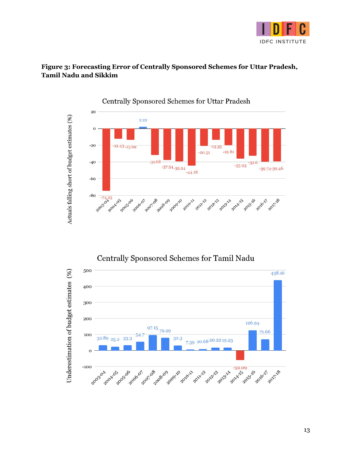

#### **Figure 3: Forecasting Error of Centrally Sponsored Schemes for Uttar Pradesh, Tamil Nadu and Sikkim**



Centrally Sponsored Schemes for Tamil Nadu

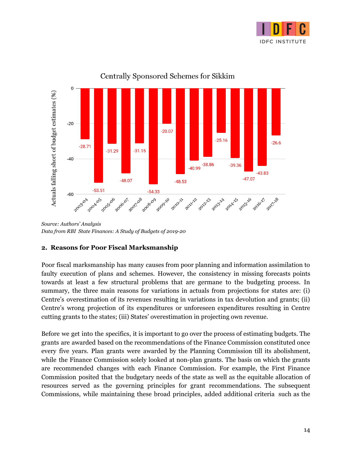



Centrally Sponsored Schemes for Sikkim

*Source: Authors' Analysis Data from RBI State Finances: A Study of Budgets of 2019-20*

#### <span id="page-14-0"></span>**2. Reasons for Poor Fiscal Marksmanship**

Poor fiscal marksmanship has many causes from poor planning and information assimilation to faulty execution of plans and schemes. However, the consistency in missing forecasts points towards at least a few structural problems that are germane to the budgeting process. In summary, the three main reasons for variations in actuals from projections for states are: (i) Centre's overestimation of its revenues resulting in variations in tax devolution and grants; (ii) Centre's wrong projection of its expenditures or unforeseen expenditures resulting in Centre cutting grants to the states; (iii) States' overestimation in projecting own revenue.

Before we get into the specifics, it is important to go over the process of estimating budgets. The grants are awarded based on the recommendations of the Finance Commission constituted once every five years. Plan grants were awarded by the Planning Commission till its abolishment, while the Finance Commission solely looked at non-plan grants. The basis on which the grants are recommended changes with each Finance Commission. For example, the First Finance Commission posited that the budgetary needs of the state as well as the equitable allocation of resources served as the governing principles for grant recommendations. The subsequent Commissions, while maintaining these broad principles, added additional criteria such as the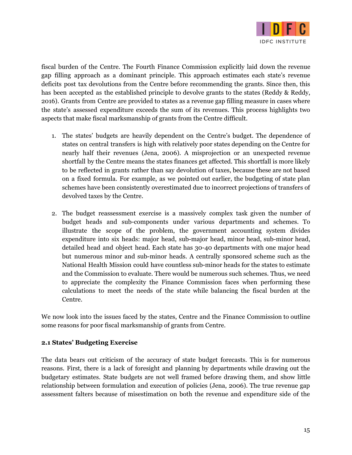

fiscal burden of the Centre. The Fourth Finance Commission explicitly laid down the revenue gap filling approach as a dominant principle. This approach estimates each state's revenue deficits post tax devolutions from the Centre before recommending the grants. Since then, this has been accepted as the established principle to devolve grants to the states (Reddy & Reddy, 2016). Grants from Centre are provided to states as a revenue gap filling measure in cases where the state's assessed expenditure exceeds the sum of its revenues. This process highlights two aspects that make fiscal marksmanship of grants from the Centre difficult.

- 1. The states' budgets are heavily dependent on the Centre's budget. The dependence of states on central transfers is high with relatively poor states depending on the Centre for nearly half their revenues (Jena, 2006). A misprojection or an unexpected revenue shortfall by the Centre means the states finances get affected. This shortfall is more likely to be reflected in grants rather than say devolution of taxes, because these are not based on a fixed formula. For example, as we pointed out earlier, the budgeting of state plan schemes have been consistently overestimated due to incorrect projections of transfers of devolved taxes by the Centre.
- 2. The budget reassessment exercise is a massively complex task given the number of budget heads and sub-components under various departments and schemes. To illustrate the scope of the problem, the government accounting system divides expenditure into six heads: major head, sub-major head, minor head, sub-minor head, detailed head and object head. Each state has 30-40 departments with one major head but numerous minor and sub-minor heads. A centrally sponsored scheme such as the National Health Mission could have countless sub-minor heads for the states to estimate and the Commission to evaluate. There would be numerous such schemes. Thus, we need to appreciate the complexity the Finance Commission faces when performing these calculations to meet the needs of the state while balancing the fiscal burden at the Centre.

We now look into the issues faced by the states, Centre and the Finance Commission to outline some reasons for poor fiscal marksmanship of grants from Centre.

#### <span id="page-15-0"></span>**2.1 States' Budgeting Exercise**

The data bears out criticism of the accuracy of state budget forecasts. This is for numerous reasons. First, there is a lack of foresight and planning by departments while drawing out the budgetary estimates. State budgets are not well framed before drawing them, and show little relationship between formulation and execution of policies (Jena, 2006). The true revenue gap assessment falters because of misestimation on both the revenue and expenditure side of the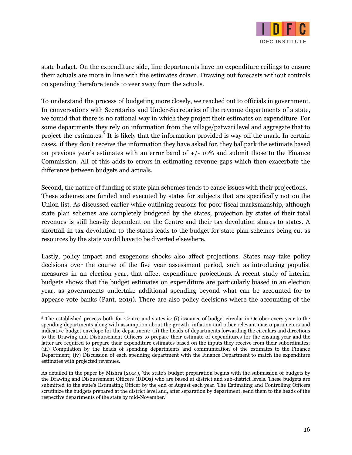

state budget. On the expenditure side, line departments have no expenditure ceilings to ensure their actuals are more in line with the estimates drawn. Drawing out forecasts without controls on spending therefore tends to veer away from the actuals.

To understand the process of budgeting more closely, we reached out to officials in government. In conversations with Secretaries and Under-Secretaries of the revenue departments of a state, we found that there is no rational way in which they project their estimates on expenditure. For some departments they rely on information from the village/patwari level and aggregate that to project the estimates.<sup>5</sup> It is likely that the information provided is way off the mark. In certain cases, if they don't receive the information they have asked for, they ballpark the estimate based on previous year's estimates with an error band of  $+/-10\%$  and submit those to the Finance Commission. All of this adds to errors in estimating revenue gaps which then exacerbate the difference between budgets and actuals.

Second, the nature of funding of state plan schemes tends to cause issues with their projections. These schemes are funded and executed by states for subjects that are specifically not on the Union list. As discussed earlier while outlining reasons for poor fiscal marksmanship, although state plan schemes are completely budgeted by the states, projection by states of their total revenues is still heavily dependent on the Centre and their tax devolution shares to states. A shortfall in tax devolution to the states leads to the budget for state plan schemes being cut as resources by the state would have to be diverted elsewhere.

Lastly, policy impact and exogenous shocks also affect projections. States may take policy decisions over the course of the five year assessment period, such as introducing populist measures in an election year, that affect expenditure projections. A recent study of interim budgets shows that the budget estimates on expenditure are particularly biased in an election year, as governments undertake additional spending beyond what can be accounted for to appease vote banks (Pant, 2019). There are also policy decisions where the accounting of the

<sup>&</sup>lt;sup>5</sup> The established process both for Centre and states is: (i) issuance of budget circular in October every year to the spending departments along with assumption about the growth, inflation and other relevant macro parameters and indicative budget envelope for the department; (ii) the heads of departments forwarding the circulars and directions to the Drawing and Disbursement Officers to prepare their estimate of expenditures for the ensuing year and the latter are required to prepare their expenditure estimates based on the inputs they receive from their subordinates; (iii) Compilation by the heads of spending departments and communication of the estimates to the Finance Department; (iv) Discussion of each spending department with the Finance Department to match the expenditure estimates with projected revenues.

As detailed in the paper by Mishra (2014), 'the state's budget preparation begins with the submission of budgets by the Drawing and Disbursement Officers (DDOs) who are based at district and sub-district levels. These budgets are submitted to the state's Estimating Officer by the end of August each year. The Estimating and Controlling Officers scrutinize the budgets prepared at the district level and, after separation by department, send them to the heads of the respective departments of the state by mid-November.'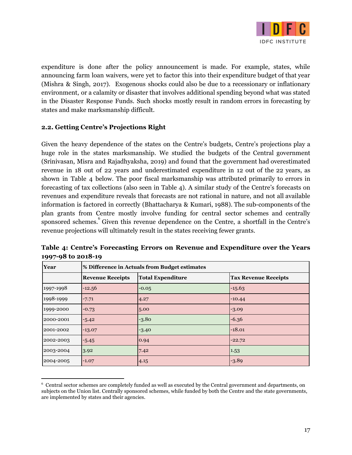

expenditure is done after the policy announcement is made. For example, states, while announcing farm loan waivers, were yet to factor this into their expenditure budget of that year (Mishra & Singh, 2017). Exogenous shocks could also be due to a recessionary or inflationary environment, or a calamity or disaster that involves additional spending beyond what was stated in the Disaster Response Funds. Such shocks mostly result in random errors in forecasting by states and make marksmanship difficult.

#### <span id="page-17-0"></span>**2.2. Getting Centre's Projections Right**

Given the heavy dependence of the states on the Centre's budgets, Centre's projections play a huge role in the states marksmanship. We studied the budgets of the Central government (Srinivasan, Misra and Rajadhyaksha, 2019) and found that the government had overestimated revenue in 18 out of 22 years and underestimated expenditure in 12 out of the 22 years, as shown in Table 4 below. The poor fiscal marksmanship was attributed primarily to errors in forecasting of tax collections (also seen in Table 4). A similar study of the Centre's forecasts on revenues and expenditure reveals that forecasts are not rational in nature, and not all available information is factored in correctly (Bhattacharya & Kumari, 1988). The sub-components of the plan grants from Centre mostly involve funding for central sector schemes and centrally sponsored schemes. Given this revenue dependence on the Centre, a shortfall in the Centre's revenue projections will ultimately result in the states receiving fewer grants.

| Year      |                         | % Difference in Actuals from Budget estimates |                             |  |  |  |  |  |  |  |
|-----------|-------------------------|-----------------------------------------------|-----------------------------|--|--|--|--|--|--|--|
|           | <b>Revenue Receipts</b> | <b>Total Expenditure</b>                      | <b>Tax Revenue Receipts</b> |  |  |  |  |  |  |  |
| 1997-1998 | $-12.56$                | $-0.05$                                       | $-15.63$                    |  |  |  |  |  |  |  |
| 1998-1999 | $-7.71$                 | 4.27                                          | $-10.44$                    |  |  |  |  |  |  |  |
| 1999-2000 | $-0.73$                 | 5.00                                          | $-3.09$                     |  |  |  |  |  |  |  |
| 2000-2001 | $-5.42$                 | $-3.80$                                       | $-6.36$                     |  |  |  |  |  |  |  |
| 2001-2002 | $-13.07$                | $-3.40$                                       | $-18.01$                    |  |  |  |  |  |  |  |
| 2002-2003 | $-5.45$                 | 0.94                                          | $-22.72$                    |  |  |  |  |  |  |  |
| 2003-2004 | 3.92                    | 7.42                                          | 1.53                        |  |  |  |  |  |  |  |
| 2004-2005 | $-1.07$                 | 4.15                                          | $-3.89$                     |  |  |  |  |  |  |  |

**Table 4: Centre's Forecasting Errors on Revenue and Expenditure over the Years 1997-98 to 2018-19**

<sup>6</sup> Central sector schemes are completely funded as well as executed by the Central government and departments, on subjects on the Union list. Centrally sponsored schemes, while funded by both the Centre and the state governments, are implemented by states and their agencies.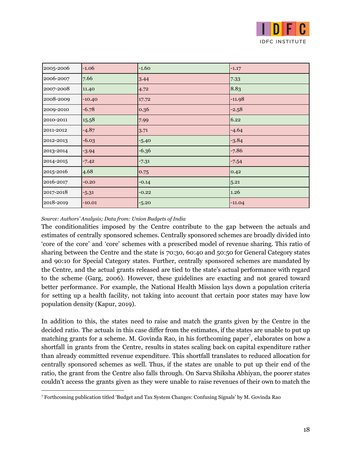

| 2005-2006 | $-1.06$  | $-1.60$ | $-1.17$  |
|-----------|----------|---------|----------|
| 2006-2007 | 7.66     | 3.44    | 7.33     |
| 2007-2008 | 11.40    | 4.72    | 8.83     |
| 2008-2009 | $-10.40$ | 17.72   | $-11.98$ |
| 2009-2010 | $-6.78$  | 0.36    | $-2.58$  |
| 2010-2011 | 15.58    | 7.99    | 6.22     |
| 2011-2012 | $-4.87$  | 3.71    | $-4.64$  |
| 2012-2013 | $-6.03$  | $-5.40$ | $-3.84$  |
| 2013-2014 | $-3.94$  | $-6.36$ | $-7.86$  |
| 2014-2015 | $-7.42$  | $-7.31$ | $-7.54$  |
| 2015-2016 | 4.68     | 0.75    | 0.42     |
| 2016-2017 | $-0.20$  | $-0.14$ | 5.21     |
| 2017-2018 | $-5.31$  | $-0.22$ | 1.26     |
| 2018-2019 | $-10.01$ | $-5.20$ | $-11.04$ |

#### *Source: Authors' Analysis; Data from: Union Budgets of India*

The conditionalities imposed by the Centre contribute to the gap between the actuals and estimates of centrally sponsored schemes. Centrally sponsored schemes are broadly divided into 'core of the core' and 'core' schemes with a prescribed model of revenue sharing. This ratio of sharing between the Centre and the state is 70:30, 60:40 and 50:50 for General Category states and 90:10 for Special Category states. Further, centrally sponsored schemes are mandated by the Centre, and the actual grants released are tied to the state's actual performance with regard to the scheme (Garg, 2006). However, these guidelines are exacting and not geared toward better performance. For example, the National Health Mission lays down a population criteria for setting up a health facility, not taking into account that certain poor states may have low population density (Kapur, 2019).

In addition to this, the states need to raise and match the grants given by the Centre in the decided ratio. The actuals in this case differ from the estimates, if the states are unable to put up matching grants for a scheme. M. Govinda Rao, in his forthcoming paper<sup>7</sup>, elaborates on how a shortfall in grants from the Centre, results in states scaling back on capital expenditure rather than already committed revenue expenditure. This shortfall translates to reduced allocation for centrally sponsored schemes as well. Thus, if the states are unable to put up their end of the ratio, the grant from the Centre also falls through. On Sarva Shiksha Abhiyan, the poorer states couldn't access the grants given as they were unable to raise revenues of their own to match the

<sup>7</sup> Forthcoming publication titled 'Budget and Tax System Changes: Confusing Signals' by M. Govinda Rao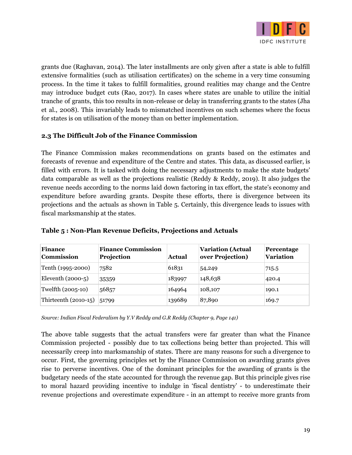

grants due (Raghavan, 2014). The later installments are only given after a state is able to fulfill extensive formalities (such as utilisation certificates) on the scheme in a very time consuming process. In the time it takes to fulfill formalities, ground realities may change and the Centre may introduce budget cuts (Rao, 2017). In cases where states are unable to utilize the initial tranche of grants, this too results in non-release or delay in transferring grants to the states (Jha et al., 2008). This invariably leads to mismatched incentives on such schemes where the focus for states is on utilisation of the money than on better implementation.

#### <span id="page-19-0"></span>**2.3 The Difficult Job of the Finance Commission**

The Finance Commission makes recommendations on grants based on the estimates and forecasts of revenue and expenditure of the Centre and states. This data, as discussed earlier, is filled with errors. It is tasked with doing the necessary adjustments to make the state budgets' data comparable as well as the projections realistic (Reddy & Reddy, 2019). It also judges the revenue needs according to the norms laid down factoring in tax effort, the state's economy and expenditure before awarding grants. Despite these efforts, there is divergence between its projections and the actuals as shown in Table 5. Certainly, this divergence leads to issues with fiscal marksmanship at the states.

| <b>Finance</b><br><b>Commission</b> | <b>Finance Commission</b><br>Projection | Actual | <b>Variation (Actual</b><br>over Projection) | Percentage<br><b>Variation</b> |
|-------------------------------------|-----------------------------------------|--------|----------------------------------------------|--------------------------------|
| Tenth (1995-2000)                   | 7582                                    | 61831  | 54,249                                       | 715.5                          |
| Eleventh $(2000-5)$                 | 35359                                   | 183997 | 148,638                                      | 420.4                          |
| Twelfth (2005-10)                   | 56857                                   | 164964 | 108,107                                      | 190.1                          |
| Thirteenth (2010-15)                | 51799                                   | 139689 | 87,890                                       | 169.7                          |

#### **Table 5 : Non-Plan Revenue Deficits, Projections and Actuals**

*Source: Indian Fiscal Federalism by Y.V Reddy and G.R Reddy (Chapter 9, Page 141)*

The above table suggests that the actual transfers were far greater than what the Finance Commission projected - possibly due to tax collections being better than projected. This will necessarily creep into marksmanship of states. There are many reasons for such a divergence to occur. First, the governing principles set by the Finance Commission on awarding grants gives rise to perverse incentives. One of the dominant principles for the awarding of grants is the budgetary needs of the state accounted for through the revenue gap. But this principle gives rise to moral hazard providing incentive to indulge in 'fiscal dentistry' - to underestimate their revenue projections and overestimate expenditure - in an attempt to receive more grants from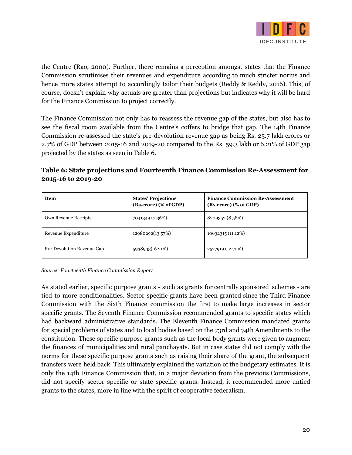

the Centre (Rao, 2000). Further, there remains a perception amongst states that the Finance Commission scrutinises their revenues and expenditure according to much stricter norms and hence more states attempt to accordingly tailor their budgets (Reddy & Reddy, 2016). This, of course, doesn't explain why actuals are greater than projections but indicates why it will be hard for the Finance Commission to project correctly.

The Finance Commission not only has to reassess the revenue gap of the states, but also has to see the fiscal room available from the Centre's coffers to bridge that gap. The 14th Finance Commission re-assessed the state's pre-devolution revenue gap as being Rs. 25.7 lakh crores or 2.7% of GDP between 2015-16 and 2019-20 compared to the Rs. 59.3 lakh or 6.21% of GDP gap projected by the states as seen in Table 6.

**Table 6: State projections and Fourteenth Finance Commission Re-Assessment for 2015-16 to 2019-20**

| <b>Item</b>                | <b>States' Projections</b><br>(Rs.crore) (% of GDP) | <b>Finance Commission Re-Assessment</b><br>(Rs.crore) (% of GDP) |
|----------------------------|-----------------------------------------------------|------------------------------------------------------------------|
| Own Revenue Receipts       | 7041349 (7.36%)                                     | 8209352 (8.58%)                                                  |
| Revenue Expenditure        | 12980292(13.57%)                                    | 10632315 (11.12%)                                                |
| Pre-Devolution Revenue Gap | 5938943(-6.21%)                                     | 2577919 (-2.70%)                                                 |

*Source: Fourteenth Finance Commission Report*

As stated earlier, specific purpose grants - such as grants for centrally sponsored schemes - are tied to more conditionalities. Sector specific grants have been granted since the Third Finance Commission with the Sixth Finance commission the first to make large increases in sector specific grants. The Seventh Finance Commission recommended grants to specific states which had backward administrative standards. The Eleventh Finance Commission mandated grants for special problems of states and to local bodies based on the 73rd and 74th Amendments to the constitution. These specific purpose grants such as the local body grants were given to augment the finances of municipalities and rural panchayats. But in case states did not comply with the norms for these specific purpose grants such as raising their share of the grant, the subsequent transfers were held back. This ultimately explained the variation of the budgetary estimates. It is only the 14th Finance Commission that, in a major deviation from the previous Commissions, did not specify sector specific or state specific grants. Instead, it recommended more untied grants to the states, more in line with the spirit of cooperative federalism.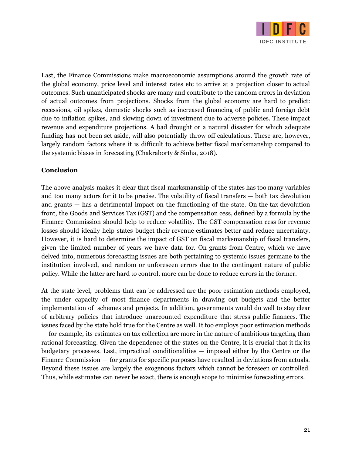

Last, the Finance Commissions make macroeconomic assumptions around the growth rate of the global economy, price level and interest rates etc to arrive at a projection closer to actual outcomes. Such unanticipated shocks are many and contribute to the random errors in deviation of actual outcomes from projections. Shocks from the global economy are hard to predict: recessions, oil spikes, domestic shocks such as increased financing of public and foreign debt due to inflation spikes, and slowing down of investment due to adverse policies. These impact revenue and expenditure projections. A bad drought or a natural disaster for which adequate funding has not been set aside, will also potentially throw off calculations. These are, however, largely random factors where it is difficult to achieve better fiscal marksmanship compared to the systemic biases in forecasting (Chakraborty & Sinha, 2018).

#### **Conclusion**

The above analysis makes it clear that fiscal marksmanship of the states has too many variables and too many actors for it to be precise. The volatility of fiscal transfers — both tax devolution and grants — has a detrimental impact on the functioning of the state. On the tax devolution front, the Goods and Services Tax (GST) and the compensation cess, defined by a formula by the Finance Commission should help to reduce volatility. The GST compensation cess for revenue losses should ideally help states budget their revenue estimates better and reduce uncertainty. However, it is hard to determine the impact of GST on fiscal marksmanship of fiscal transfers, given the limited number of years we have data for. On grants from Centre, which we have delved into, numerous forecasting issues are both pertaining to systemic issues germane to the institution involved, and random or unforeseen errors due to the contingent nature of public policy. While the latter are hard to control, more can be done to reduce errors in the former.

At the state level, problems that can be addressed are the poor estimation methods employed, the under capacity of most finance departments in drawing out budgets and the better implementation of schemes and projects. In addition, governments would do well to stay clear of arbitrary policies that introduce unaccounted expenditure that stress public finances. The issues faced by the state hold true for the Centre as well. It too employs poor estimation methods — for example, its estimates on tax collection are more in the nature of ambitious targeting than rational forecasting. Given the dependence of the states on the Centre, it is crucial that it fix its budgetary processes. Last, impractical conditionalities — imposed either by the Centre or the Finance Commission — for grants for specific purposes have resulted in deviations from actuals. Beyond these issues are largely the exogenous factors which cannot be foreseen or controlled. Thus, while estimates can never be exact, there is enough scope to minimise forecasting errors.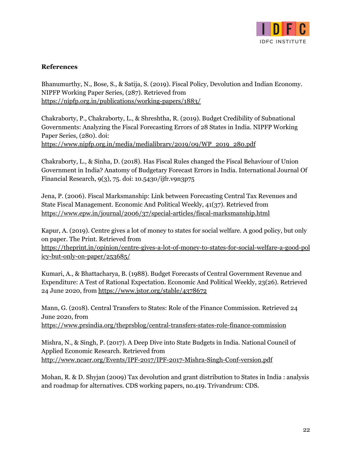

#### <span id="page-22-0"></span>**References**

Bhanumurthy, N., Bose, S., & Satija, S. (2019). Fiscal Policy, Devolution and Indian Economy. NIPFP Working Paper Series, (287). Retrieved from <https://nipfp.org.in/publications/working-papers/1883/>

Chakraborty, P., Chakraborty, L., & Shreshtha, R. (2019). Budget Credibility of Subnational Governments: Analyzing the Fiscal Forecasting Errors of 28 States in India. NIPFP Working Paper Series, (280). doi: [https://www.nipfp.org.in/media/medialibrary/2019/09/WP\\_2019\\_280.pdf](https://www.nipfp.org.in/media/medialibrary/2019/09/WP_2019_280.pdf)

Chakraborty, L., & Sinha, D. (2018). Has Fiscal Rules changed the Fiscal Behaviour of Union Government in India? Anatomy of Budgetary Forecast Errors in India. International Journal Of Financial Research, 9(3), 75. doi: 10.5430/ijfr.v9n3p75

Jena, P. (2006). Fiscal Marksmanship: Link between Forecasting Central Tax Revenues and State Fiscal Management. Economic And Political Weekly, 41(37). Retrieved from <https://www.epw.in/journal/2006/37/special-articles/fiscal-marksmanship.html>

Kapur, A. (2019). Centre gives a lot of money to states for social welfare. A good policy, but only on paper. The Print. Retrieved from [https://theprint.in/opinion/centre-gives-a-lot-of-money-to-states-for-social-welfare-a-good-pol](https://theprint.in/opinion/centre-gives-a-lot-of-money-to-states-for-social-welfare-a-good-policy-but-only-on-paper/253685/) [icy-but-only-on-paper/253685/](https://theprint.in/opinion/centre-gives-a-lot-of-money-to-states-for-social-welfare-a-good-policy-but-only-on-paper/253685/)

Kumari, A., & Bhattacharya, B. (1988). Budget Forecasts of Central Government Revenue and Expenditure: A Test of Rational Expectation. Economic And Political Weekly, 23(26). Retrieved 24 June 2020, from <https://www.jstor.org/stable/4378672>

Mann, G. (2018). Central Transfers to States: Role of the Finance Commission. Retrieved 24 June 2020, from <https://www.prsindia.org/theprsblog/central-transfers-states-role-finance-commission>

Mishra, N., & Singh, P. (2017). A Deep Dive into State Budgets in India. National Council of Applied Economic Research. Retrieved from <http://www.ncaer.org/Events/IPF-2017/IPF-2017-Mishra-Singh-Conf-version.pdf>

Mohan, R. & D. Shyjan (2009) Tax devolution and grant distribution to States in India : analysis and roadmap for alternatives. CDS working papers, no.419. Trivandrum: CDS.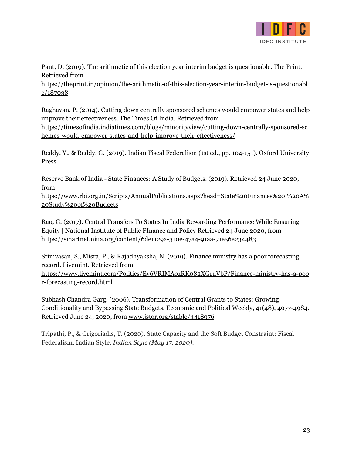

Pant, D. (2019). The arithmetic of this election year interim budget is questionable. The Print. Retrieved from

[https://theprint.in/opinion/the-arithmetic-of-this-election-year-interim-budget-is-questionabl](https://theprint.in/opinion/the-arithmetic-of-this-election-year-interim-budget-is-questionable/187038/) [e/187038](https://theprint.in/opinion/the-arithmetic-of-this-election-year-interim-budget-is-questionable/187038/)

Raghavan, P. (2014). Cutting down centrally sponsored schemes would empower states and help improve their effectiveness. The Times Of India. Retrieved from [https://timesofindia.indiatimes.com/blogs/minorityview/cutting-down-centrally-sponsored-sc](https://timesofindia.indiatimes.com/blogs/minorityview/cutting-down-centrally-sponsored-schemes-would-empower-states-and-help-improve-their-effectiveness/)

[hemes-would-empower-states-and-help-improve-their-effectiveness/](https://timesofindia.indiatimes.com/blogs/minorityview/cutting-down-centrally-sponsored-schemes-would-empower-states-and-help-improve-their-effectiveness/)

Reddy, Y., & Reddy, G. (2019). Indian Fiscal Federalism (1st ed., pp. 104-151). Oxford University Press.

Reserve Bank of India - State Finances: A Study of Budgets. (2019). Retrieved 24 June 2020, from

[https://www.rbi.org.in/Scripts/AnnualPublications.aspx?head=State%20Finances%20:%20A%](https://www.rbi.org.in/Scripts/AnnualPublications.aspx?head=State%20Finances%20:%20A%20Study%20of%20Budgets) [20Study%20of%20Budgets](https://www.rbi.org.in/Scripts/AnnualPublications.aspx?head=State%20Finances%20:%20A%20Study%20of%20Budgets)

Rao, G. (2017). Central Transfers To States In India Rewarding Performance While Ensuring Equity | National Institute of Public FInance and Policy Retrieved 24 June 2020, from <https://smartnet.niua.org/content/6de1129a-310e-47a4-91aa-71e56e234483>

Srinivasan, S., Misra, P., & Rajadhyaksha, N. (2019). Finance ministry has a poor forecasting record. Livemint. Retrieved from [https://www.livemint.com/Politics/Ey6VRIMAozRK082XGruVbP/Finance-ministry-has-a-poo](https://www.livemint.com/Politics/Ey6VRIMAozRK082XGruVbP/Finance-ministry-has-a-poor-forecasting-record.html) [r-forecasting-record.html](https://www.livemint.com/Politics/Ey6VRIMAozRK082XGruVbP/Finance-ministry-has-a-poor-forecasting-record.html)

Subhash Chandra Garg. (2006). Transformation of Central Grants to States: Growing Conditionality and Bypassing State Budgets. Economic and Political Weekly, 41(48), 4977-4984. Retrieved June 24, 2020, from [www.jstor.org/stable/4418976](http://www.jstor.org/stable/4418976)

Tripathi, P., & Grigoriadis, T. (2020). State Capacity and the Soft Budget Constraint: Fiscal Federalism, Indian Style. *Indian Style (May 17, 2020)*.